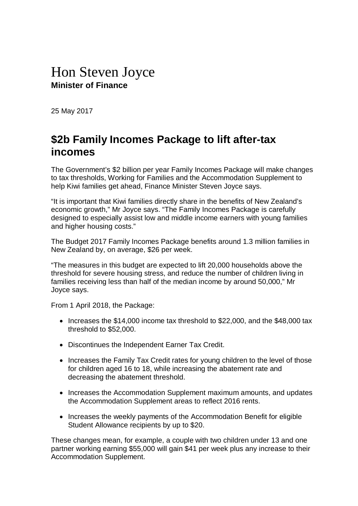## Hon Steven Joyce **Minister of Finance**

25 May 2017

## **\$2b Family Incomes Package to lift after-tax incomes**

The Government's \$2 billion per year Family Incomes Package will make changes to tax thresholds, Working for Families and the Accommodation Supplement to help Kiwi families get ahead, Finance Minister Steven Joyce says.

"It is important that Kiwi families directly share in the benefits of New Zealand's economic growth," Mr Joyce says. "The Family Incomes Package is carefully designed to especially assist low and middle income earners with young families and higher housing costs."

The Budget 2017 Family Incomes Package benefits around 1.3 million families in New Zealand by, on average, \$26 per week.

"The measures in this budget are expected to lift 20,000 households above the threshold for severe housing stress, and reduce the number of children living in families receiving less than half of the median income by around 50,000," Mr Joyce says.

From 1 April 2018, the Package:

- Increases the \$14,000 income tax threshold to \$22,000, and the \$48,000 tax threshold to \$52,000.
- Discontinues the Independent Earner Tax Credit.
- Increases the Family Tax Credit rates for young children to the level of those for children aged 16 to 18, while increasing the abatement rate and decreasing the abatement threshold.
- Increases the Accommodation Supplement maximum amounts, and updates the Accommodation Supplement areas to reflect 2016 rents.
- Increases the weekly payments of the Accommodation Benefit for eligible Student Allowance recipients by up to \$20.

These changes mean, for example, a couple with two children under 13 and one partner working earning \$55,000 will gain \$41 per week plus any increase to their Accommodation Supplement.